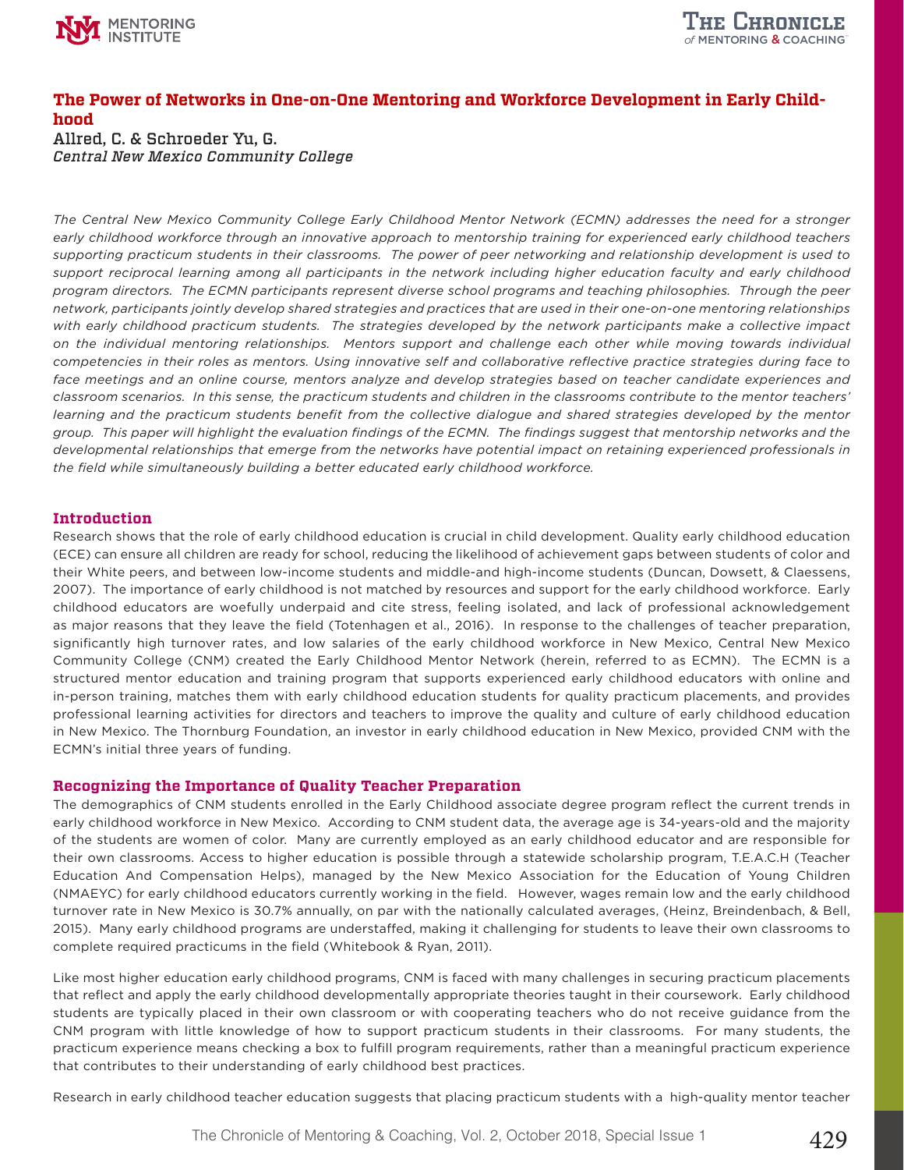

# **The Power of Networks in One-on-One Mentoring and Workforce Development in Early Childhood**

Allred, C. & Schroeder Yu, G. *Central New Mexico Community College*

*The Central New Mexico Community College Early Childhood Mentor Network (ECMN) addresses the need for a stronger early childhood workforce through an innovative approach to mentorship training for experienced early childhood teachers supporting practicum students in their classrooms. The power of peer networking and relationship development is used to support reciprocal learning among all participants in the network including higher education faculty and early childhood program directors. The ECMN participants represent diverse school programs and teaching philosophies. Through the peer network, participants jointly develop shared strategies and practices that are used in their one-on-one mentoring relationships with early childhood practicum students. The strategies developed by the network participants make a collective impact on the individual mentoring relationships. Mentors support and challenge each other while moving towards individual competencies in their roles as mentors. Using innovative self and collaborative reflective practice strategies during face to face meetings and an online course, mentors analyze and develop strategies based on teacher candidate experiences and classroom scenarios. In this sense, the practicum students and children in the classrooms contribute to the mentor teachers' learning and the practicum students benefit from the collective dialogue and shared strategies developed by the mentor group. This paper will highlight the evaluation findings of the ECMN. The findings suggest that mentorship networks and the developmental relationships that emerge from the networks have potential impact on retaining experienced professionals in the field while simultaneously building a better educated early childhood workforce.*

#### **Introduction**

Research shows that the role of early childhood education is crucial in child development. Quality early childhood education (ECE) can ensure all children are ready for school, reducing the likelihood of achievement gaps between students of color and their White peers, and between low-income students and middle-and high-income students (Duncan, Dowsett, & Claessens, 2007). The importance of early childhood is not matched by resources and support for the early childhood workforce. Early childhood educators are woefully underpaid and cite stress, feeling isolated, and lack of professional acknowledgement as major reasons that they leave the field (Totenhagen et al., 2016). In response to the challenges of teacher preparation, significantly high turnover rates, and low salaries of the early childhood workforce in New Mexico, Central New Mexico Community College (CNM) created the Early Childhood Mentor Network (herein, referred to as ECMN). The ECMN is a structured mentor education and training program that supports experienced early childhood educators with online and in-person training, matches them with early childhood education students for quality practicum placements, and provides professional learning activities for directors and teachers to improve the quality and culture of early childhood education in New Mexico. The Thornburg Foundation, an investor in early childhood education in New Mexico, provided CNM with the ECMN's initial three years of funding.

# **Recognizing the Importance of Quality Teacher Preparation**

The demographics of CNM students enrolled in the Early Childhood associate degree program reflect the current trends in early childhood workforce in New Mexico. According to CNM student data, the average age is 34-years-old and the majority of the students are women of color. Many are currently employed as an early childhood educator and are responsible for their own classrooms. Access to higher education is possible through a statewide scholarship program, T.E.A.C.H (Teacher Education And Compensation Helps), managed by the New Mexico Association for the Education of Young Children (NMAEYC) for early childhood educators currently working in the field. However, wages remain low and the early childhood turnover rate in New Mexico is 30.7% annually, on par with the nationally calculated averages, (Heinz, Breindenbach, & Bell, 2015). Many early childhood programs are understaffed, making it challenging for students to leave their own classrooms to complete required practicums in the field (Whitebook & Ryan, 2011).

Like most higher education early childhood programs, CNM is faced with many challenges in securing practicum placements that reflect and apply the early childhood developmentally appropriate theories taught in their coursework. Early childhood students are typically placed in their own classroom or with cooperating teachers who do not receive guidance from the CNM program with little knowledge of how to support practicum students in their classrooms. For many students, the practicum experience means checking a box to fulfill program requirements, rather than a meaningful practicum experience that contributes to their understanding of early childhood best practices.

Research in early childhood teacher education suggests that placing practicum students with a high-quality mentor teacher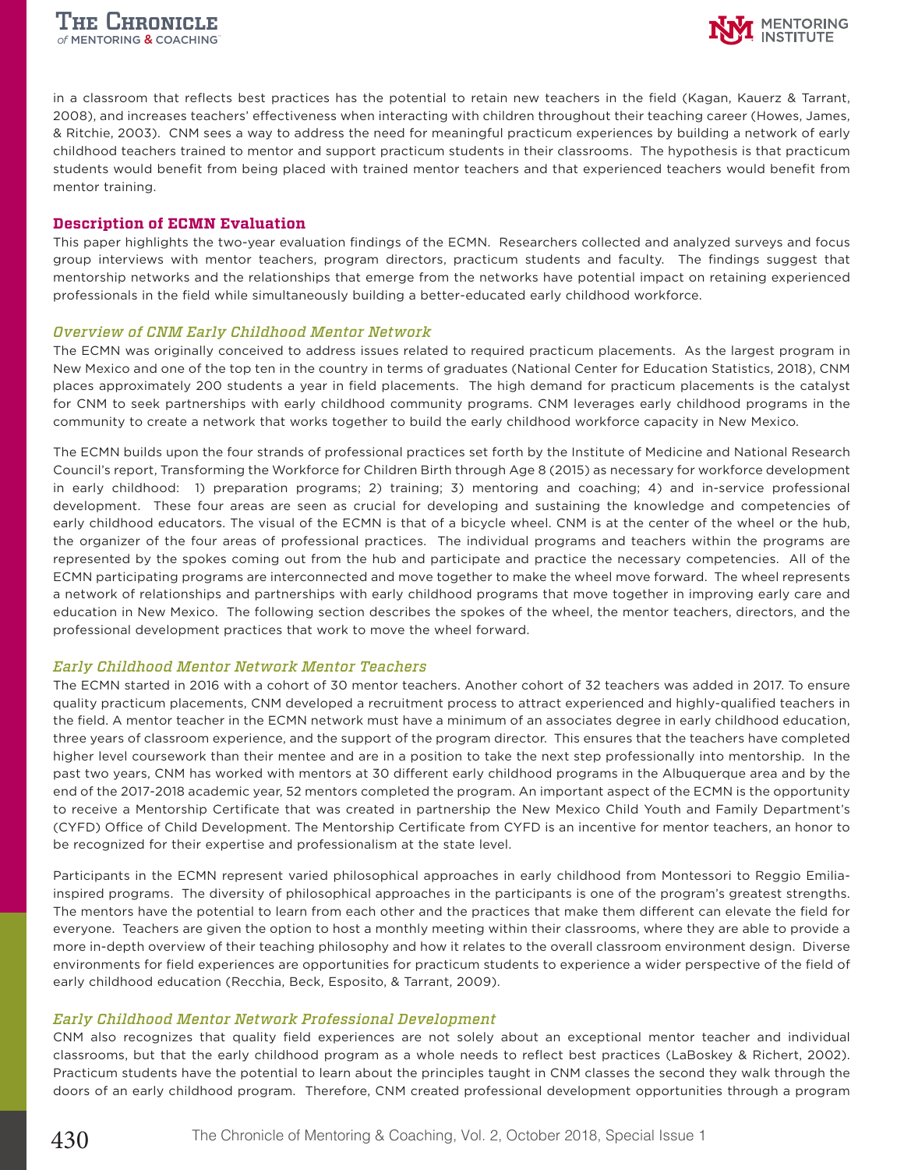

in a classroom that reflects best practices has the potential to retain new teachers in the field (Kagan, Kauerz & Tarrant, 2008), and increases teachers' effectiveness when interacting with children throughout their teaching career (Howes, James, & Ritchie, 2003). CNM sees a way to address the need for meaningful practicum experiences by building a network of early childhood teachers trained to mentor and support practicum students in their classrooms. The hypothesis is that practicum students would benefit from being placed with trained mentor teachers and that experienced teachers would benefit from mentor training.

#### **Description of ECMN Evaluation**

This paper highlights the two-year evaluation findings of the ECMN. Researchers collected and analyzed surveys and focus group interviews with mentor teachers, program directors, practicum students and faculty. The findings suggest that mentorship networks and the relationships that emerge from the networks have potential impact on retaining experienced professionals in the field while simultaneously building a better-educated early childhood workforce.

#### *Overview of CNM Early Childhood Mentor Network*

The ECMN was originally conceived to address issues related to required practicum placements. As the largest program in New Mexico and one of the top ten in the country in terms of graduates (National Center for Education Statistics, 2018), CNM places approximately 200 students a year in field placements. The high demand for practicum placements is the catalyst for CNM to seek partnerships with early childhood community programs. CNM leverages early childhood programs in the community to create a network that works together to build the early childhood workforce capacity in New Mexico.

The ECMN builds upon the four strands of professional practices set forth by the Institute of Medicine and National Research Council's report, Transforming the Workforce for Children Birth through Age 8 (2015) as necessary for workforce development in early childhood: 1) preparation programs; 2) training; 3) mentoring and coaching; 4) and in-service professional development. These four areas are seen as crucial for developing and sustaining the knowledge and competencies of early childhood educators. The visual of the ECMN is that of a bicycle wheel. CNM is at the center of the wheel or the hub, the organizer of the four areas of professional practices. The individual programs and teachers within the programs are represented by the spokes coming out from the hub and participate and practice the necessary competencies. All of the ECMN participating programs are interconnected and move together to make the wheel move forward. The wheel represents a network of relationships and partnerships with early childhood programs that move together in improving early care and education in New Mexico. The following section describes the spokes of the wheel, the mentor teachers, directors, and the professional development practices that work to move the wheel forward.

#### *Early Childhood Mentor Network Mentor Teachers*

The ECMN started in 2016 with a cohort of 30 mentor teachers. Another cohort of 32 teachers was added in 2017. To ensure quality practicum placements, CNM developed a recruitment process to attract experienced and highly-qualified teachers in the field. A mentor teacher in the ECMN network must have a minimum of an associates degree in early childhood education, three years of classroom experience, and the support of the program director. This ensures that the teachers have completed higher level coursework than their mentee and are in a position to take the next step professionally into mentorship. In the past two years, CNM has worked with mentors at 30 different early childhood programs in the Albuquerque area and by the end of the 2017-2018 academic year, 52 mentors completed the program. An important aspect of the ECMN is the opportunity to receive a Mentorship Certificate that was created in partnership the New Mexico Child Youth and Family Department's (CYFD) Office of Child Development. The Mentorship Certificate from CYFD is an incentive for mentor teachers, an honor to be recognized for their expertise and professionalism at the state level.

Participants in the ECMN represent varied philosophical approaches in early childhood from Montessori to Reggio Emiliainspired programs. The diversity of philosophical approaches in the participants is one of the program's greatest strengths. The mentors have the potential to learn from each other and the practices that make them different can elevate the field for everyone. Teachers are given the option to host a monthly meeting within their classrooms, where they are able to provide a more in-depth overview of their teaching philosophy and how it relates to the overall classroom environment design. Diverse environments for field experiences are opportunities for practicum students to experience a wider perspective of the field of early childhood education (Recchia, Beck, Esposito, & Tarrant, 2009).

# *Early Childhood Mentor Network Professional Development*

CNM also recognizes that quality field experiences are not solely about an exceptional mentor teacher and individual classrooms, but that the early childhood program as a whole needs to reflect best practices (LaBoskey & Richert, 2002). Practicum students have the potential to learn about the principles taught in CNM classes the second they walk through the doors of an early childhood program. Therefore, CNM created professional development opportunities through a program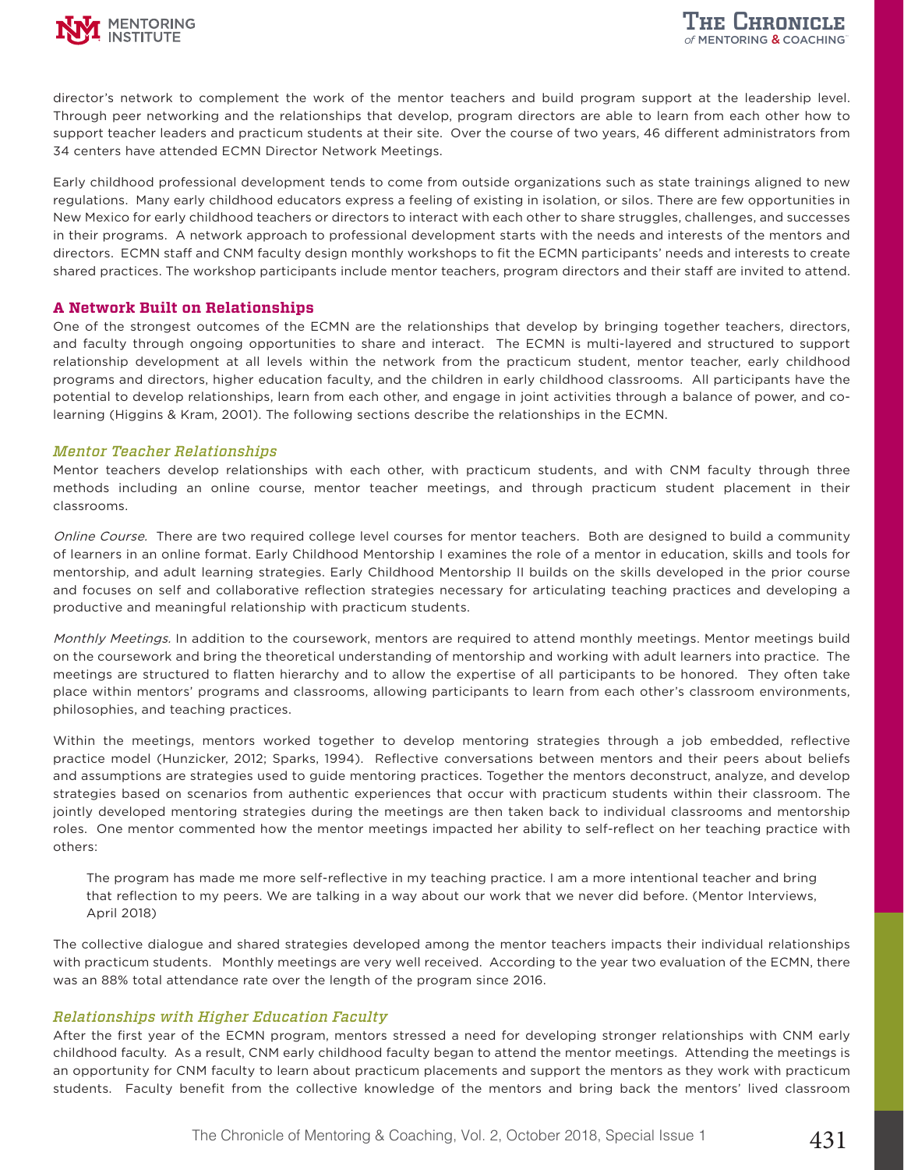

director's network to complement the work of the mentor teachers and build program support at the leadership level. Through peer networking and the relationships that develop, program directors are able to learn from each other how to support teacher leaders and practicum students at their site. Over the course of two years, 46 different administrators from 34 centers have attended ECMN Director Network Meetings.

Early childhood professional development tends to come from outside organizations such as state trainings aligned to new regulations. Many early childhood educators express a feeling of existing in isolation, or silos. There are few opportunities in New Mexico for early childhood teachers or directors to interact with each other to share struggles, challenges, and successes in their programs. A network approach to professional development starts with the needs and interests of the mentors and directors. ECMN staff and CNM faculty design monthly workshops to fit the ECMN participants' needs and interests to create shared practices. The workshop participants include mentor teachers, program directors and their staff are invited to attend.

# **A Network Built on Relationships**

One of the strongest outcomes of the ECMN are the relationships that develop by bringing together teachers, directors, and faculty through ongoing opportunities to share and interact. The ECMN is multi-layered and structured to support relationship development at all levels within the network from the practicum student, mentor teacher, early childhood programs and directors, higher education faculty, and the children in early childhood classrooms. All participants have the potential to develop relationships, learn from each other, and engage in joint activities through a balance of power, and colearning (Higgins & Kram, 2001). The following sections describe the relationships in the ECMN.

# *Mentor Teacher Relationships*

Mentor teachers develop relationships with each other, with practicum students, and with CNM faculty through three methods including an online course, mentor teacher meetings, and through practicum student placement in their classrooms.

Online Course. There are two required college level courses for mentor teachers. Both are designed to build a community of learners in an online format. Early Childhood Mentorship I examines the role of a mentor in education, skills and tools for mentorship, and adult learning strategies. Early Childhood Mentorship II builds on the skills developed in the prior course and focuses on self and collaborative reflection strategies necessary for articulating teaching practices and developing a productive and meaningful relationship with practicum students.

Monthly Meetings. In addition to the coursework, mentors are required to attend monthly meetings. Mentor meetings build on the coursework and bring the theoretical understanding of mentorship and working with adult learners into practice. The meetings are structured to flatten hierarchy and to allow the expertise of all participants to be honored. They often take place within mentors' programs and classrooms, allowing participants to learn from each other's classroom environments, philosophies, and teaching practices.

Within the meetings, mentors worked together to develop mentoring strategies through a job embedded, reflective practice model (Hunzicker, 2012; Sparks, 1994). Reflective conversations between mentors and their peers about beliefs and assumptions are strategies used to guide mentoring practices. Together the mentors deconstruct, analyze, and develop strategies based on scenarios from authentic experiences that occur with practicum students within their classroom. The jointly developed mentoring strategies during the meetings are then taken back to individual classrooms and mentorship roles. One mentor commented how the mentor meetings impacted her ability to self-reflect on her teaching practice with others:

The program has made me more self-reflective in my teaching practice. I am a more intentional teacher and bring that reflection to my peers. We are talking in a way about our work that we never did before. (Mentor Interviews, April 2018)

The collective dialogue and shared strategies developed among the mentor teachers impacts their individual relationships with practicum students. Monthly meetings are very well received. According to the year two evaluation of the ECMN, there was an 88% total attendance rate over the length of the program since 2016.

# *Relationships with Higher Education Faculty*

After the first year of the ECMN program, mentors stressed a need for developing stronger relationships with CNM early childhood faculty. As a result, CNM early childhood faculty began to attend the mentor meetings. Attending the meetings is an opportunity for CNM faculty to learn about practicum placements and support the mentors as they work with practicum students. Faculty benefit from the collective knowledge of the mentors and bring back the mentors' lived classroom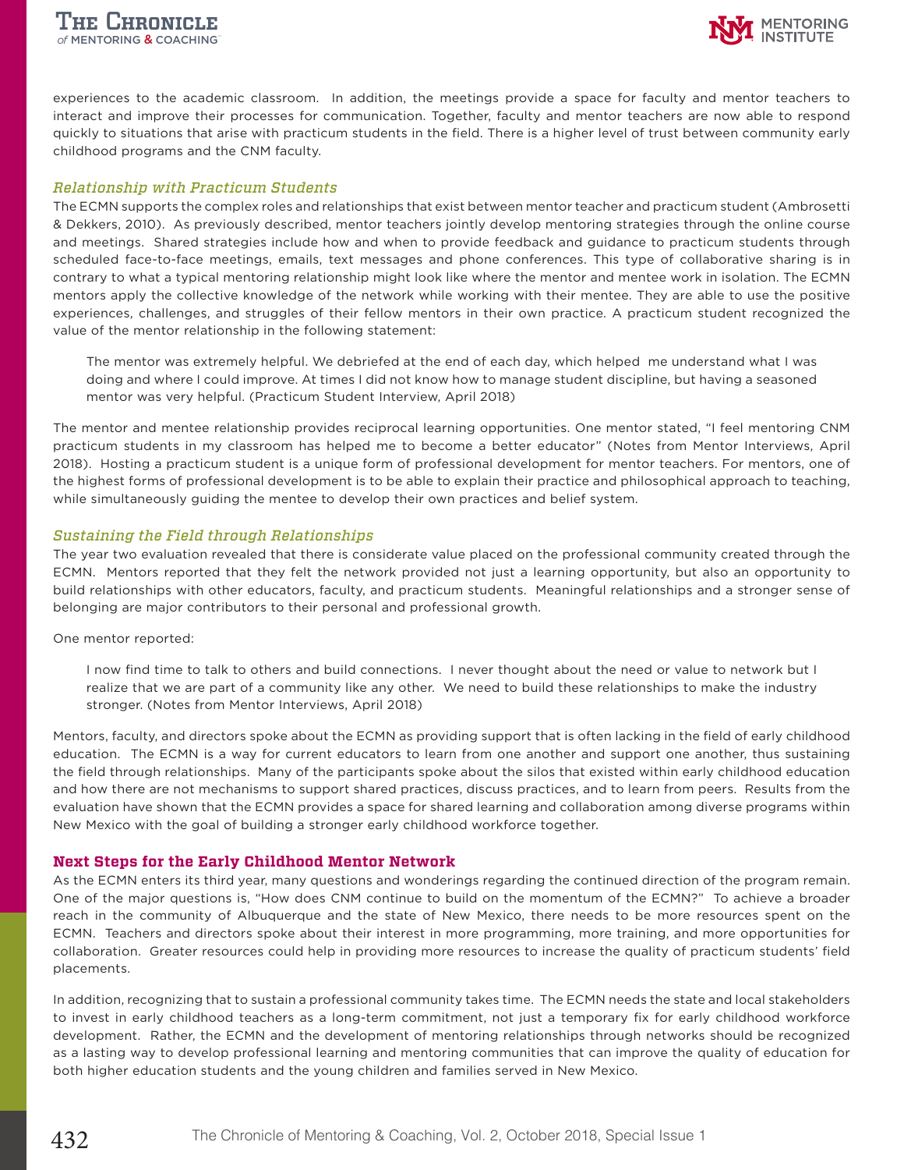

experiences to the academic classroom. In addition, the meetings provide a space for faculty and mentor teachers to interact and improve their processes for communication. Together, faculty and mentor teachers are now able to respond quickly to situations that arise with practicum students in the field. There is a higher level of trust between community early childhood programs and the CNM faculty.

#### *Relationship with Practicum Students*

The ECMN supports the complex roles and relationships that exist between mentor teacher and practicum student (Ambrosetti & Dekkers, 2010). As previously described, mentor teachers jointly develop mentoring strategies through the online course and meetings. Shared strategies include how and when to provide feedback and guidance to practicum students through scheduled face-to-face meetings, emails, text messages and phone conferences. This type of collaborative sharing is in contrary to what a typical mentoring relationship might look like where the mentor and mentee work in isolation. The ECMN mentors apply the collective knowledge of the network while working with their mentee. They are able to use the positive experiences, challenges, and struggles of their fellow mentors in their own practice. A practicum student recognized the value of the mentor relationship in the following statement:

The mentor was extremely helpful. We debriefed at the end of each day, which helped me understand what I was doing and where I could improve. At times I did not know how to manage student discipline, but having a seasoned mentor was very helpful. (Practicum Student Interview, April 2018)

The mentor and mentee relationship provides reciprocal learning opportunities. One mentor stated, "I feel mentoring CNM practicum students in my classroom has helped me to become a better educator" (Notes from Mentor Interviews, April 2018). Hosting a practicum student is a unique form of professional development for mentor teachers. For mentors, one of the highest forms of professional development is to be able to explain their practice and philosophical approach to teaching, while simultaneously guiding the mentee to develop their own practices and belief system.

#### *Sustaining the Field through Relationships*

The year two evaluation revealed that there is considerate value placed on the professional community created through the ECMN. Mentors reported that they felt the network provided not just a learning opportunity, but also an opportunity to build relationships with other educators, faculty, and practicum students. Meaningful relationships and a stronger sense of belonging are major contributors to their personal and professional growth.

#### One mentor reported:

I now find time to talk to others and build connections. I never thought about the need or value to network but I realize that we are part of a community like any other. We need to build these relationships to make the industry stronger. (Notes from Mentor Interviews, April 2018)

Mentors, faculty, and directors spoke about the ECMN as providing support that is often lacking in the field of early childhood education. The ECMN is a way for current educators to learn from one another and support one another, thus sustaining the field through relationships. Many of the participants spoke about the silos that existed within early childhood education and how there are not mechanisms to support shared practices, discuss practices, and to learn from peers. Results from the evaluation have shown that the ECMN provides a space for shared learning and collaboration among diverse programs within New Mexico with the goal of building a stronger early childhood workforce together.

# **Next Steps for the Early Childhood Mentor Network**

As the ECMN enters its third year, many questions and wonderings regarding the continued direction of the program remain. One of the major questions is, "How does CNM continue to build on the momentum of the ECMN?" To achieve a broader reach in the community of Albuquerque and the state of New Mexico, there needs to be more resources spent on the ECMN. Teachers and directors spoke about their interest in more programming, more training, and more opportunities for collaboration. Greater resources could help in providing more resources to increase the quality of practicum students' field placements.

In addition, recognizing that to sustain a professional community takes time. The ECMN needs the state and local stakeholders to invest in early childhood teachers as a long-term commitment, not just a temporary fix for early childhood workforce development. Rather, the ECMN and the development of mentoring relationships through networks should be recognized as a lasting way to develop professional learning and mentoring communities that can improve the quality of education for both higher education students and the young children and families served in New Mexico.